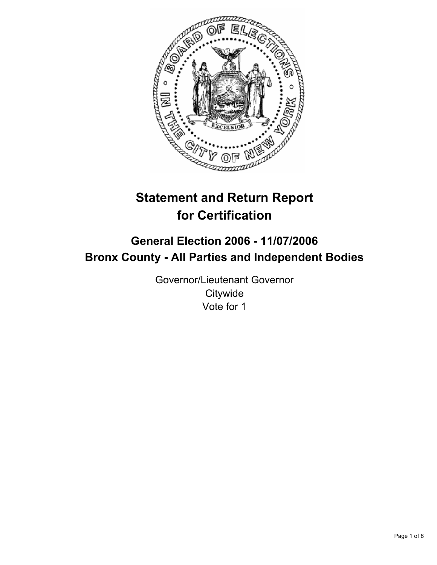

# **Statement and Return Report for Certification**

## **General Election 2006 - 11/07/2006 Bronx County - All Parties and Independent Bodies**

Governor/Lieutenant Governor **Citywide** Vote for 1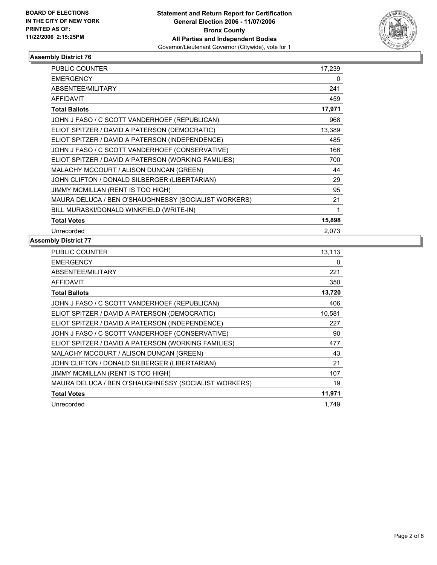

| <b>PUBLIC COUNTER</b>                                | 17,239 |
|------------------------------------------------------|--------|
| <b>EMERGENCY</b>                                     | 0      |
| ABSENTEE/MILITARY                                    | 241    |
| <b>AFFIDAVIT</b>                                     | 459    |
| <b>Total Ballots</b>                                 | 17,971 |
| JOHN J FASO / C SCOTT VANDERHOEF (REPUBLICAN)        | 968    |
| ELIOT SPITZER / DAVID A PATERSON (DEMOCRATIC)        | 13,389 |
| ELIOT SPITZER / DAVID A PATERSON (INDEPENDENCE)      | 485    |
| JOHN J FASO / C SCOTT VANDERHOEF (CONSERVATIVE)      | 166    |
| ELIOT SPITZER / DAVID A PATERSON (WORKING FAMILIES)  | 700    |
| MALACHY MCCOURT / ALISON DUNCAN (GREEN)              | 44     |
| JOHN CLIFTON / DONALD SILBERGER (LIBERTARIAN)        | 29     |
| JIMMY MCMILLAN (RENT IS TOO HIGH)                    | 95     |
| MAURA DELUCA / BEN O'SHAUGHNESSY (SOCIALIST WORKERS) | 21     |
| BILL MURASKI/DONALD WINKFIELD (WRITE-IN)             |        |
| <b>Total Votes</b>                                   | 15,898 |
| Unrecorded                                           | 2,073  |

| PUBLIC COUNTER                                       | 13,113 |
|------------------------------------------------------|--------|
| <b>EMERGENCY</b>                                     | 0      |
| ABSENTEE/MILITARY                                    | 221    |
| <b>AFFIDAVIT</b>                                     | 350    |
| <b>Total Ballots</b>                                 | 13,720 |
| JOHN J FASO / C SCOTT VANDERHOEF (REPUBLICAN)        | 406    |
| ELIOT SPITZER / DAVID A PATERSON (DEMOCRATIC)        | 10,581 |
| ELIOT SPITZER / DAVID A PATERSON (INDEPENDENCE)      | 227    |
| JOHN J FASO / C SCOTT VANDERHOEF (CONSERVATIVE)      | 90     |
| ELIOT SPITZER / DAVID A PATERSON (WORKING FAMILIES)  | 477    |
| MALACHY MCCOURT / ALISON DUNCAN (GREEN)              | 43     |
| JOHN CLIFTON / DONALD SILBERGER (LIBERTARIAN)        | 21     |
| JIMMY MCMILLAN (RENT IS TOO HIGH)                    | 107    |
| MAURA DELUCA / BEN O'SHAUGHNESSY (SOCIALIST WORKERS) | 19     |
| <b>Total Votes</b>                                   | 11,971 |
| Unrecorded                                           | 1.749  |
|                                                      |        |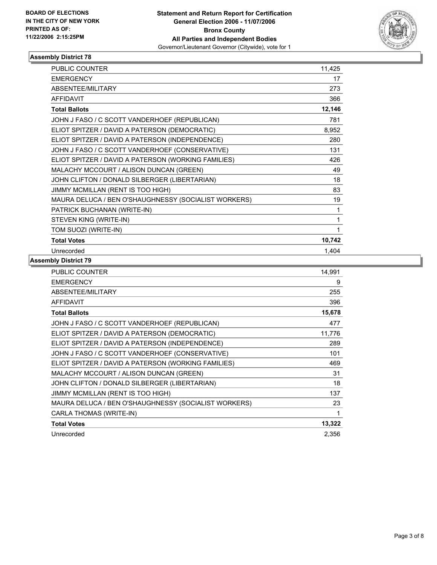

| <b>PUBLIC COUNTER</b>                                | 11,425 |
|------------------------------------------------------|--------|
| <b>EMERGENCY</b>                                     | 17     |
| ABSENTEE/MILITARY                                    | 273    |
| <b>AFFIDAVIT</b>                                     | 366    |
| <b>Total Ballots</b>                                 | 12,146 |
| JOHN J FASO / C SCOTT VANDERHOEF (REPUBLICAN)        | 781    |
| ELIOT SPITZER / DAVID A PATERSON (DEMOCRATIC)        | 8,952  |
| ELIOT SPITZER / DAVID A PATERSON (INDEPENDENCE)      | 280    |
| JOHN J FASO / C SCOTT VANDERHOEF (CONSERVATIVE)      | 131    |
| ELIOT SPITZER / DAVID A PATERSON (WORKING FAMILIES)  | 426    |
| MALACHY MCCOURT / ALISON DUNCAN (GREEN)              | 49     |
| JOHN CLIFTON / DONALD SILBERGER (LIBERTARIAN)        | 18     |
| JIMMY MCMILLAN (RENT IS TOO HIGH)                    | 83     |
| MAURA DELUCA / BEN O'SHAUGHNESSY (SOCIALIST WORKERS) | 19     |
| PATRICK BUCHANAN (WRITE-IN)                          |        |
| STEVEN KING (WRITE-IN)                               |        |
| TOM SUOZI (WRITE-IN)                                 |        |
| <b>Total Votes</b>                                   | 10,742 |
| Unrecorded                                           | 1,404  |

| PUBLIC COUNTER                                       | 14,991 |
|------------------------------------------------------|--------|
| <b>EMERGENCY</b>                                     | 9      |
| ABSENTEE/MILITARY                                    | 255    |
| <b>AFFIDAVIT</b>                                     | 396    |
| <b>Total Ballots</b>                                 | 15,678 |
| JOHN J FASO / C SCOTT VANDERHOEF (REPUBLICAN)        | 477    |
| ELIOT SPITZER / DAVID A PATERSON (DEMOCRATIC)        | 11,776 |
| ELIOT SPITZER / DAVID A PATERSON (INDEPENDENCE)      | 289    |
| JOHN J FASO / C SCOTT VANDERHOEF (CONSERVATIVE)      | 101    |
| ELIOT SPITZER / DAVID A PATERSON (WORKING FAMILIES)  | 469    |
| MALACHY MCCOURT / ALISON DUNCAN (GREEN)              | 31     |
| JOHN CLIFTON / DONALD SILBERGER (LIBERTARIAN)        | 18     |
| JIMMY MCMILLAN (RENT IS TOO HIGH)                    | 137    |
| MAURA DELUCA / BEN O'SHAUGHNESSY (SOCIALIST WORKERS) | 23     |
| CARLA THOMAS (WRITE-IN)                              |        |
| <b>Total Votes</b>                                   | 13,322 |
| Unrecorded                                           | 2,356  |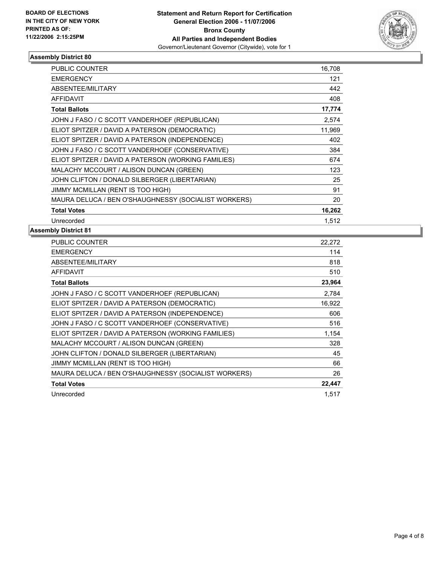

| <b>PUBLIC COUNTER</b>                                | 16,708 |  |
|------------------------------------------------------|--------|--|
| <b>EMERGENCY</b>                                     | 121    |  |
| ABSENTEE/MILITARY                                    | 442    |  |
| <b>AFFIDAVIT</b>                                     | 408    |  |
| <b>Total Ballots</b>                                 | 17,774 |  |
| JOHN J FASO / C SCOTT VANDERHOEF (REPUBLICAN)        | 2,574  |  |
| ELIOT SPITZER / DAVID A PATERSON (DEMOCRATIC)        | 11,969 |  |
| ELIOT SPITZER / DAVID A PATERSON (INDEPENDENCE)      | 402    |  |
| JOHN J FASO / C SCOTT VANDERHOEF (CONSERVATIVE)      | 384    |  |
| ELIOT SPITZER / DAVID A PATERSON (WORKING FAMILIES)  | 674    |  |
| MALACHY MCCOURT / ALISON DUNCAN (GREEN)              | 123    |  |
| JOHN CLIFTON / DONALD SILBERGER (LIBERTARIAN)        | 25     |  |
| JIMMY MCMILLAN (RENT IS TOO HIGH)                    | 91     |  |
| MAURA DELUCA / BEN O'SHAUGHNESSY (SOCIALIST WORKERS) | 20     |  |
| <b>Total Votes</b>                                   | 16,262 |  |
| Unrecorded                                           | 1,512  |  |

| PUBLIC COUNTER                                       | 22,272 |
|------------------------------------------------------|--------|
| <b>EMERGENCY</b>                                     | 114    |
| ABSENTEE/MILITARY                                    | 818    |
| <b>AFFIDAVIT</b>                                     | 510    |
| <b>Total Ballots</b>                                 | 23,964 |
| JOHN J FASO / C SCOTT VANDERHOEF (REPUBLICAN)        | 2,784  |
| ELIOT SPITZER / DAVID A PATERSON (DEMOCRATIC)        | 16,922 |
| ELIOT SPITZER / DAVID A PATERSON (INDEPENDENCE)      | 606    |
| JOHN J FASO / C SCOTT VANDERHOEF (CONSERVATIVE)      | 516    |
| ELIOT SPITZER / DAVID A PATERSON (WORKING FAMILIES)  | 1,154  |
| MALACHY MCCOURT / ALISON DUNCAN (GREEN)              | 328    |
| JOHN CLIFTON / DONALD SILBERGER (LIBERTARIAN)        | 45     |
| JIMMY MCMILLAN (RENT IS TOO HIGH)                    | 66     |
| MAURA DELUCA / BEN O'SHAUGHNESSY (SOCIALIST WORKERS) | 26     |
| <b>Total Votes</b>                                   | 22,447 |
| Unrecorded                                           | 1,517  |
|                                                      |        |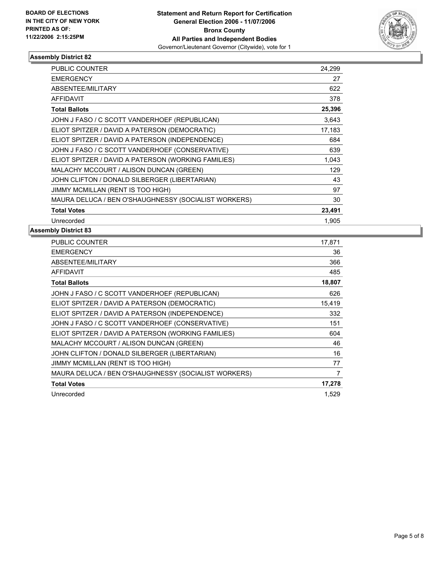

| <b>PUBLIC COUNTER</b>                                | 24,299 |
|------------------------------------------------------|--------|
| <b>EMERGENCY</b>                                     | 27     |
| ABSENTEE/MILITARY                                    | 622    |
| <b>AFFIDAVIT</b>                                     | 378    |
| <b>Total Ballots</b>                                 | 25,396 |
| JOHN J FASO / C SCOTT VANDERHOEF (REPUBLICAN)        | 3,643  |
| ELIOT SPITZER / DAVID A PATERSON (DEMOCRATIC)        | 17,183 |
| ELIOT SPITZER / DAVID A PATERSON (INDEPENDENCE)      | 684    |
| JOHN J FASO / C SCOTT VANDERHOEF (CONSERVATIVE)      | 639    |
| ELIOT SPITZER / DAVID A PATERSON (WORKING FAMILIES)  | 1,043  |
| MALACHY MCCOURT / ALISON DUNCAN (GREEN)              | 129    |
| JOHN CLIFTON / DONALD SILBERGER (LIBERTARIAN)        | 43     |
| JIMMY MCMILLAN (RENT IS TOO HIGH)                    | 97     |
| MAURA DELUCA / BEN O'SHAUGHNESSY (SOCIALIST WORKERS) | 30     |
| <b>Total Votes</b>                                   | 23,491 |
| Unrecorded                                           | 1.905  |

| PUBLIC COUNTER                                       | 17,871 |
|------------------------------------------------------|--------|
| <b>EMERGENCY</b>                                     | 36     |
| <b>ABSENTEE/MILITARY</b>                             | 366    |
| <b>AFFIDAVIT</b>                                     | 485    |
| <b>Total Ballots</b>                                 | 18,807 |
| JOHN J FASO / C SCOTT VANDERHOEF (REPUBLICAN)        | 626    |
| ELIOT SPITZER / DAVID A PATERSON (DEMOCRATIC)        | 15,419 |
| ELIOT SPITZER / DAVID A PATERSON (INDEPENDENCE)      | 332    |
| JOHN J FASO / C SCOTT VANDERHOEF (CONSERVATIVE)      | 151    |
| ELIOT SPITZER / DAVID A PATERSON (WORKING FAMILIES)  | 604    |
| MALACHY MCCOURT / ALISON DUNCAN (GREEN)              | 46     |
| JOHN CLIFTON / DONALD SILBERGER (LIBERTARIAN)        | 16     |
| JIMMY MCMILLAN (RENT IS TOO HIGH)                    | 77     |
| MAURA DELUCA / BEN O'SHAUGHNESSY (SOCIALIST WORKERS) | 7      |
| <b>Total Votes</b>                                   | 17,278 |
| Unrecorded                                           | 1,529  |
|                                                      |        |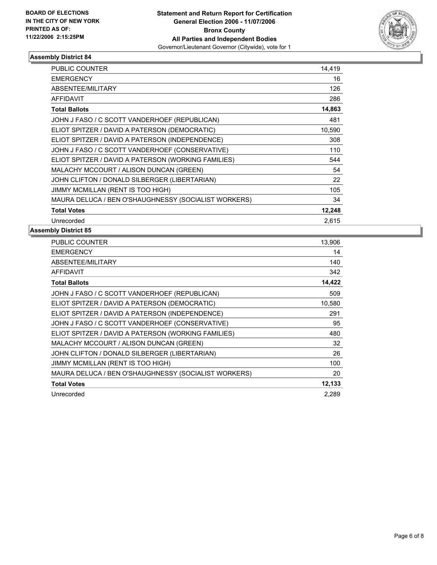

| <b>PUBLIC COUNTER</b>                                | 14,419 |
|------------------------------------------------------|--------|
| <b>EMERGENCY</b>                                     | 16     |
| ABSENTEE/MILITARY                                    | 126    |
| <b>AFFIDAVIT</b>                                     | 286    |
| <b>Total Ballots</b>                                 | 14,863 |
| JOHN J FASO / C SCOTT VANDERHOEF (REPUBLICAN)        | 481    |
| ELIOT SPITZER / DAVID A PATERSON (DEMOCRATIC)        | 10,590 |
| ELIOT SPITZER / DAVID A PATERSON (INDEPENDENCE)      | 308    |
| JOHN J FASO / C SCOTT VANDERHOEF (CONSERVATIVE)      | 110    |
| ELIOT SPITZER / DAVID A PATERSON (WORKING FAMILIES)  | 544    |
| MALACHY MCCOURT / ALISON DUNCAN (GREEN)              | 54     |
| JOHN CLIFTON / DONALD SILBERGER (LIBERTARIAN)        | 22     |
| JIMMY MCMILLAN (RENT IS TOO HIGH)                    | 105    |
| MAURA DELUCA / BEN O'SHAUGHNESSY (SOCIALIST WORKERS) | 34     |
| <b>Total Votes</b>                                   | 12,248 |
| Unrecorded                                           | 2,615  |

| PUBLIC COUNTER                                       | 13,906 |
|------------------------------------------------------|--------|
| <b>EMERGENCY</b>                                     | 14     |
| <b>ABSENTEE/MILITARY</b>                             | 140    |
| <b>AFFIDAVIT</b>                                     | 342    |
| <b>Total Ballots</b>                                 | 14,422 |
| JOHN J FASO / C SCOTT VANDERHOEF (REPUBLICAN)        | 509    |
| ELIOT SPITZER / DAVID A PATERSON (DEMOCRATIC)        | 10,580 |
| ELIOT SPITZER / DAVID A PATERSON (INDEPENDENCE)      | 291    |
| JOHN J FASO / C SCOTT VANDERHOEF (CONSERVATIVE)      | 95     |
| ELIOT SPITZER / DAVID A PATERSON (WORKING FAMILIES)  | 480    |
| MALACHY MCCOURT / ALISON DUNCAN (GREEN)              | 32     |
| JOHN CLIFTON / DONALD SILBERGER (LIBERTARIAN)        | 26     |
| JIMMY MCMILLAN (RENT IS TOO HIGH)                    | 100    |
| MAURA DELUCA / BEN O'SHAUGHNESSY (SOCIALIST WORKERS) | 20     |
| <b>Total Votes</b>                                   | 12,133 |
| Unrecorded                                           | 2.289  |
|                                                      |        |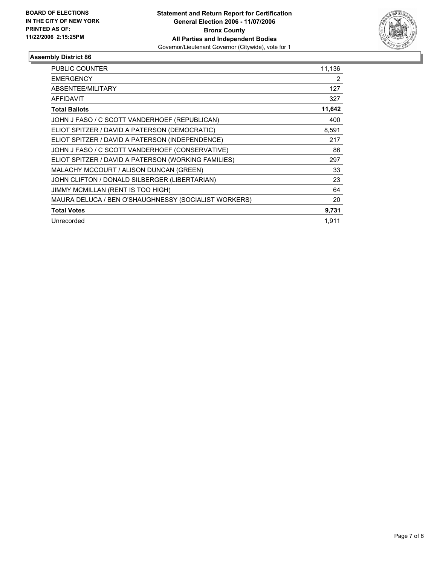

| <b>PUBLIC COUNTER</b>                                | 11,136 |
|------------------------------------------------------|--------|
| <b>EMERGENCY</b>                                     | 2      |
| ABSENTEE/MILITARY                                    | 127    |
| <b>AFFIDAVIT</b>                                     | 327    |
| <b>Total Ballots</b>                                 | 11,642 |
| JOHN J FASO / C SCOTT VANDERHOEF (REPUBLICAN)        | 400    |
| ELIOT SPITZER / DAVID A PATERSON (DEMOCRATIC)        | 8,591  |
| ELIOT SPITZER / DAVID A PATERSON (INDEPENDENCE)      | 217    |
| JOHN J FASO / C SCOTT VANDERHOEF (CONSERVATIVE)      | 86     |
| ELIOT SPITZER / DAVID A PATERSON (WORKING FAMILIES)  | 297    |
| MALACHY MCCOURT / ALISON DUNCAN (GREEN)              | 33     |
| JOHN CLIFTON / DONALD SILBERGER (LIBERTARIAN)        | 23     |
| JIMMY MCMILLAN (RENT IS TOO HIGH)                    | 64     |
| MAURA DELUCA / BEN O'SHAUGHNESSY (SOCIALIST WORKERS) | 20     |
| <b>Total Votes</b>                                   | 9,731  |
| Unrecorded                                           | 1.911  |